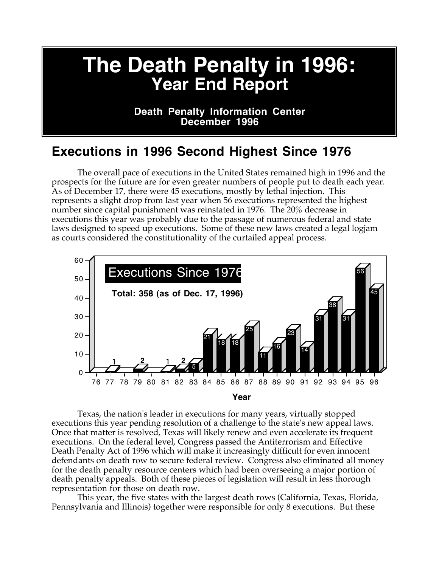# **The Death Penalty in 1996: Year End Report**

#### **Death Penalty Information Center December 1996**

# **Executions in 1996 Second Highest Since 1976**

The overall pace of executions in the United States remained high in 1996 and the prospects for the future are for even greater numbers of people put to death each year. As of December 17, there were 45 executions, mostly by lethal injection. This represents a slight drop from last year when 56 executions represented the highest number since capital punishment was reinstated in 1976. The 20% decrease in executions this year was probably due to the passage of numerous federal and state laws designed to speed up executions. Some of these new laws created a legal logjam as courts considered the constitutionality of the curtailed appeal process.



Texas, the nation's leader in executions for many years, virtually stopped executions this year pending resolution of a challenge to the state's new appeal laws. Once that matter is resolved, Texas will likely renew and even accelerate its frequent executions. On the federal level, Congress passed the Antiterrorism and Effective Death Penalty Act of 1996 which will make it increasingly difficult for even innocent defendants on death row to secure federal review. Congress also eliminated all money for the death penalty resource centers which had been overseeing a major portion of death penalty appeals. Both of these pieces of legislation will result in less thorough representation for those on death row.

This year, the five states with the largest death rows (California, Texas, Florida, Pennsylvania and Illinois) together were responsible for only 8 executions. But these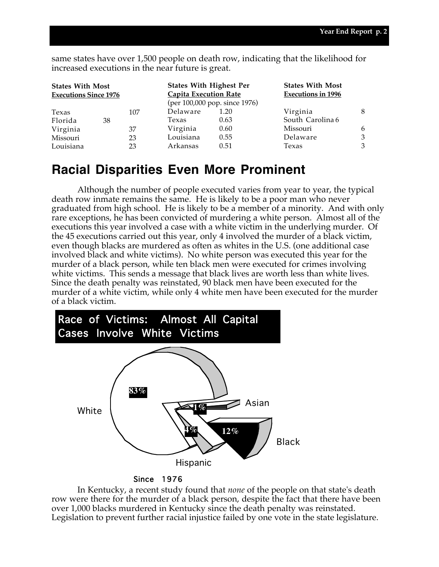same states have over 1,500 people on death row, indicating that the likelihood for increased executions in the near future is great.

| <b>States With Most</b><br><b>Executions Since 1976</b> |     | <b>States With Highest Per</b><br><b>Capita Execution Rate</b><br>(per 100,000 pop. since 1976) |      | <b>States With Most</b><br><b>Executions in 1996</b> |   |
|---------------------------------------------------------|-----|-------------------------------------------------------------------------------------------------|------|------------------------------------------------------|---|
| Texas                                                   | 107 | Delaware                                                                                        | 1.20 | Virginia                                             | 8 |
| Florida                                                 | 38  | Texas                                                                                           | 0.63 | South Carolina 6                                     |   |
| Virginia                                                | 37  | Virginia                                                                                        | 0.60 | Missouri                                             | 6 |
| Missouri                                                | 23  | Louisiana                                                                                       | 0.55 | Delaware                                             | 3 |
| Louisiana                                               | 23  | Arkansas                                                                                        | 0.51 | Texas                                                | 3 |

#### **Racial Disparities Even More Prominent**

Although the number of people executed varies from year to year, the typical death row inmate remains the same. He is likely to be a poor man who never graduated from high school. He is likely to be a member of a minority. And with only rare exceptions, he has been convicted of murdering a white person. Almost all of the executions this year involved a case with a white victim in the underlying murder. Of the 45 executions carried out this year, only 4 involved the murder of a black victim, even though blacks are murdered as often as whites in the U.S. (one additional case involved black and white victims). No white person was executed this year for the murder of a black person, while ten black men were executed for crimes involving white victims. This sends a message that black lives are worth less than white lives. Since the death penalty was reinstated, 90 black men have been executed for the murder of a white victim, while only 4 white men have been executed for the murder of a black victim.



#### Since 1976

In Kentucky, a recent study found that *none* of the people on that state's death row were there for the murder of a black person, despite the fact that there have been over 1,000 blacks murdered in Kentucky since the death penalty was reinstated. Legislation to prevent further racial injustice failed by one vote in the state legislature.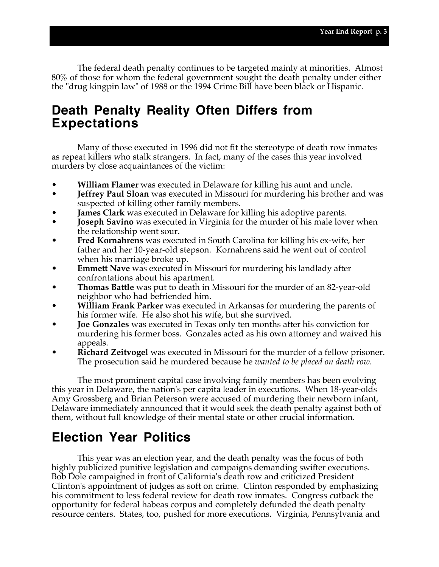The federal death penalty continues to be targeted mainly at minorities. Almost 80% of those for whom the federal government sought the death penalty under either the "drug kingpin law" of 1988 or the 1994 Crime Bill have been black or Hispanic.

#### **Death Penalty Reality Often Differs from Expectations**

Many of those executed in 1996 did not fit the stereotype of death row inmates as repeat killers who stalk strangers. In fact, many of the cases this year involved murders by close acquaintances of the victim:

- **William Flamer** was executed in Delaware for killing his aunt and uncle.
- **Jeffrey Paul Sloan** was executed in Missouri for murdering his brother and was suspected of killing other family members.
- **James Clark** was executed in Delaware for killing his adoptive parents.
- **Joseph Savino** was executed in Virginia for the murder of his male lover when the relationship went sour.
- **Fred Kornahrens** was executed in South Carolina for killing his ex-wife, her father and her 10-year-old stepson. Kornahrens said he went out of control when his marriage broke up.
- **Emmett Nave** was executed in Missouri for murdering his landlady after confrontations about his apartment.
- **Thomas Battle** was put to death in Missouri for the murder of an 82-year-old neighbor who had befriended him.
- **William Frank Parker** was executed in Arkansas for murdering the parents of his former wife. He also shot his wife, but she survived.
- **Joe Gonzales** was executed in Texas only ten months after his conviction for murdering his former boss. Gonzales acted as his own attorney and waived his appeals.
- **Richard Zeitvogel** was executed in Missouri for the murder of a fellow prisoner. The prosecution said he murdered because he *wanted to be placed on death row.*

The most prominent capital case involving family members has been evolving this year in Delaware, the nation's per capita leader in executions. When 18-year-olds Amy Grossberg and Brian Peterson were accused of murdering their newborn infant, Delaware immediately announced that it would seek the death penalty against both of them, without full knowledge of their mental state or other crucial information.

## **Election Year Politics**

This year was an election year, and the death penalty was the focus of both highly publicized punitive legislation and campaigns demanding swifter executions. Bob Dole campaigned in front of California's death row and criticized President Clinton's appointment of judges as soft on crime. Clinton responded by emphasizing his commitment to less federal review for death row inmates. Congress cutback the opportunity for federal habeas corpus and completely defunded the death penalty resource centers. States, too, pushed for more executions. Virginia, Pennsylvania and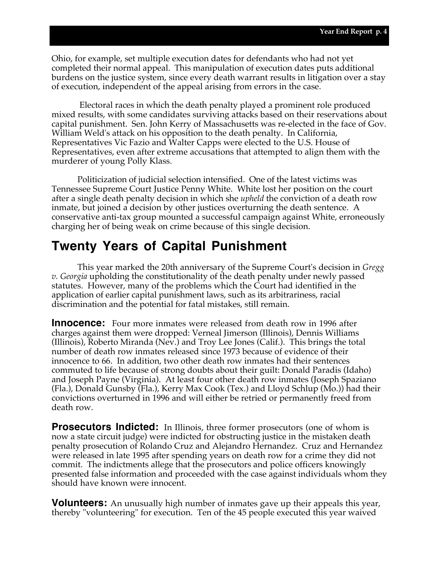Ohio, for example, set multiple execution dates for defendants who had not yet completed their normal appeal. This manipulation of execution dates puts additional burdens on the justice system, since every death warrant results in litigation over a stay of execution, independent of the appeal arising from errors in the case.

 Electoral races in which the death penalty played a prominent role produced mixed results, with some candidates surviving attacks based on their reservations about capital punishment. Sen. John Kerry of Massachusetts was re-elected in the face of Gov. William Weld's attack on his opposition to the death penalty. In California, Representatives Vic Fazio and Walter Capps were elected to the U.S. House of Representatives, even after extreme accusations that attempted to align them with the murderer of young Polly Klass.

Politicization of judicial selection intensified. One of the latest victims was Tennessee Supreme Court Justice Penny White. White lost her position on the court after a single death penalty decision in which she *upheld* the conviction of a death row inmate, but joined a decision by other justices overturning the death sentence. A conservative anti-tax group mounted a successful campaign against White, erroneously charging her of being weak on crime because of this single decision.

## **Twenty Years of Capital Punishment**

This year marked the 20th anniversary of the Supreme Court's decision in *Gregg v. Georgia* upholding the constitutionality of the death penalty under newly passed statutes. However, many of the problems which the Court had identified in the application of earlier capital punishment laws, such as its arbitrariness, racial discrimination and the potential for fatal mistakes, still remain.

**Innocence:** Four more inmates were released from death row in 1996 after charges against them were dropped: Verneal Jimerson (Illinois), Dennis Williams (Illinois), Roberto Miranda (Nev.) and Troy Lee Jones (Calif.). This brings the total number of death row inmates released since 1973 because of evidence of their innocence to 66. In addition, two other death row inmates had their sentences commuted to life because of strong doubts about their guilt: Donald Paradis (Idaho) and Joseph Payne (Virginia). At least four other death row inmates (Joseph Spaziano (Fla.), Donald Gunsby (Fla.), Kerry Max Cook (Tex.) and Lloyd Schlup (Mo.)) had their convictions overturned in 1996 and will either be retried or permanently freed from death row.

**Prosecutors Indicted:** In Illinois, three former prosecutors (one of whom is now a state circuit judge) were indicted for obstructing justice in the mistaken death penalty prosecution of Rolando Cruz and Alejandro Hernandez. Cruz and Hernandez were released in late 1995 after spending years on death row for a crime they did not commit. The indictments allege that the prosecutors and police officers knowingly presented false information and proceeded with the case against individuals whom they should have known were innocent.

**Volunteers:** An unusually high number of inmates gave up their appeals this year, thereby "volunteering" for execution. Ten of the 45 people executed this year waived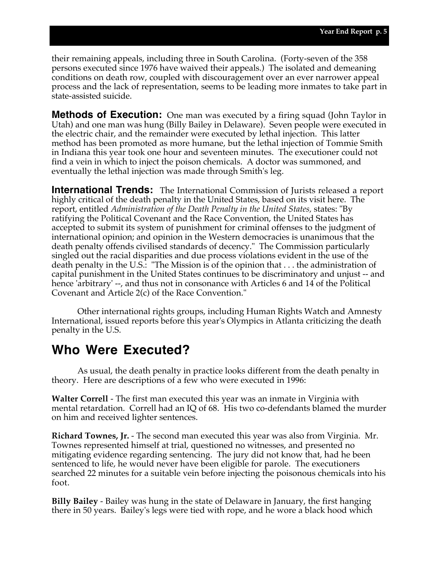their remaining appeals, including three in South Carolina. (Forty-seven of the 358 persons executed since 1976 have waived their appeals.) The isolated and demeaning conditions on death row, coupled with discouragement over an ever narrower appeal process and the lack of representation, seems to be leading more inmates to take part in state-assisted suicide.

**Methods of Execution:** One man was executed by a firing squad (John Taylor in Utah) and one man was hung (Billy Bailey in Delaware). Seven people were executed in the electric chair, and the remainder were executed by lethal injection. This latter method has been promoted as more humane, but the lethal injection of Tommie Smith in Indiana this year took one hour and seventeen minutes. The executioner could not find a vein in which to inject the poison chemicals. A doctor was summoned, and eventually the lethal injection was made through Smith's leg.

**International Trends:** The International Commission of Jurists released a report highly critical of the death penalty in the United States, based on its visit here. The report, entitled *Administration of the Death Penalty in the United States,* states: "By ratifying the Political Covenant and the Race Convention, the United States has accepted to submit its system of punishment for criminal offenses to the judgment of international opinion; and opinion in the Western democracies is unanimous that the death penalty offends civilised standards of decency." The Commission particularly singled out the racial disparities and due process violations evident in the use of the death penalty in the U.S.: "The Mission is of the opinion that . . . the administration of capital punishment in the United States continues to be discriminatory and unjust -- and hence 'arbitrary' --, and thus not in consonance with Articles 6 and 14 of the Political Covenant and Article 2(c) of the Race Convention."

Other international rights groups, including Human Rights Watch and Amnesty International, issued reports before this year's Olympics in Atlanta criticizing the death penalty in the U.S.

## **Who Were Executed?**

As usual, the death penalty in practice looks different from the death penalty in theory. Here are descriptions of a few who were executed in 1996:

**Walter Correll** - The first man executed this year was an inmate in Virginia with mental retardation. Correll had an IQ of 68. His two co-defendants blamed the murder on him and received lighter sentences.

**Richard Townes, Jr.** - The second man executed this year was also from Virginia. Mr. Townes represented himself at trial, questioned no witnesses, and presented no mitigating evidence regarding sentencing. The jury did not know that, had he been sentenced to life, he would never have been eligible for parole. The executioners searched 22 minutes for a suitable vein before injecting the poisonous chemicals into his foot.

**Billy Bailey** - Bailey was hung in the state of Delaware in January, the first hanging there in 50 years. Bailey's legs were tied with rope, and he wore a black hood which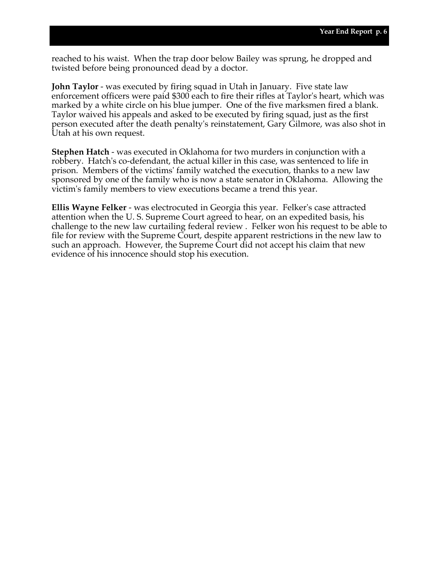reached to his waist. When the trap door below Bailey was sprung, he dropped and twisted before being pronounced dead by a doctor.

**John Taylor** - was executed by firing squad in Utah in January. Five state law enforcement officers were paid \$300 each to fire their rifles at Taylor's heart, which was marked by a white circle on his blue jumper. One of the five marksmen fired a blank. Taylor waived his appeals and asked to be executed by firing squad, just as the first person executed after the death penalty's reinstatement, Gary Gilmore, was also shot in Utah at his own request.

**Stephen Hatch** - was executed in Oklahoma for two murders in conjunction with a robbery. Hatch's co-defendant, the actual killer in this case, was sentenced to life in prison. Members of the victims' family watched the execution, thanks to a new law sponsored by one of the family who is now a state senator in Oklahoma. Allowing the victim's family members to view executions became a trend this year.

**Ellis Wayne Felker** - was electrocuted in Georgia this year. Felker's case attracted attention when the U. S. Supreme Court agreed to hear, on an expedited basis, his challenge to the new law curtailing federal review . Felker won his request to be able to file for review with the Supreme Court, despite apparent restrictions in the new law to such an approach. However, the Supreme Court did not accept his claim that new evidence of his innocence should stop his execution.